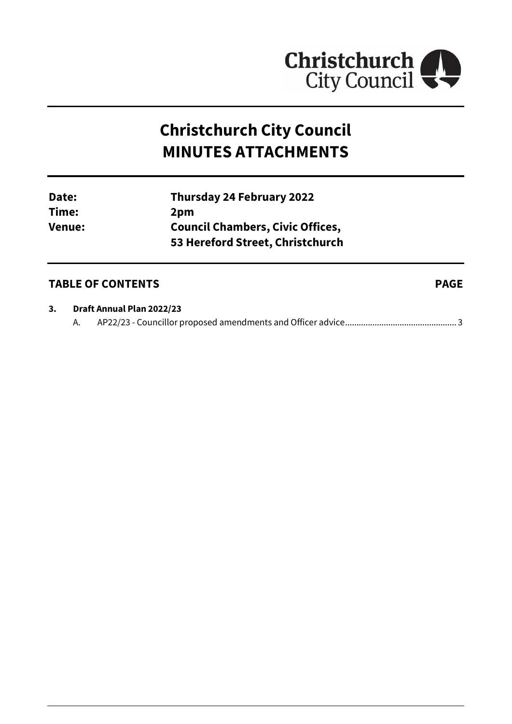

## **Christchurch City Council MINUTES ATTACHMENTS**

| Date:  | <b>Thursday 24 February 2022</b>        |
|--------|-----------------------------------------|
| Time:  | 2pm                                     |
| Venue: | <b>Council Chambers, Civic Offices,</b> |
|        | 53 Hereford Street, Christchurch        |
|        |                                         |

## **TABLE OF CONTENTS PAGE**

| 3. | Draft Annual Plan 2022/23 |  |  |
|----|---------------------------|--|--|
|    |                           |  |  |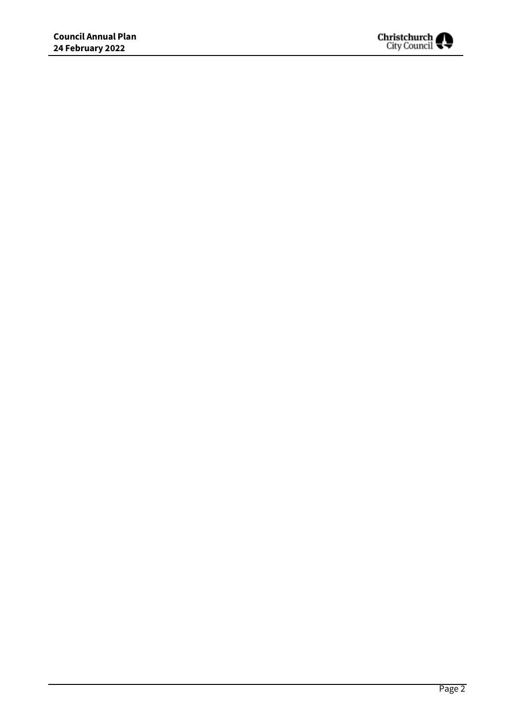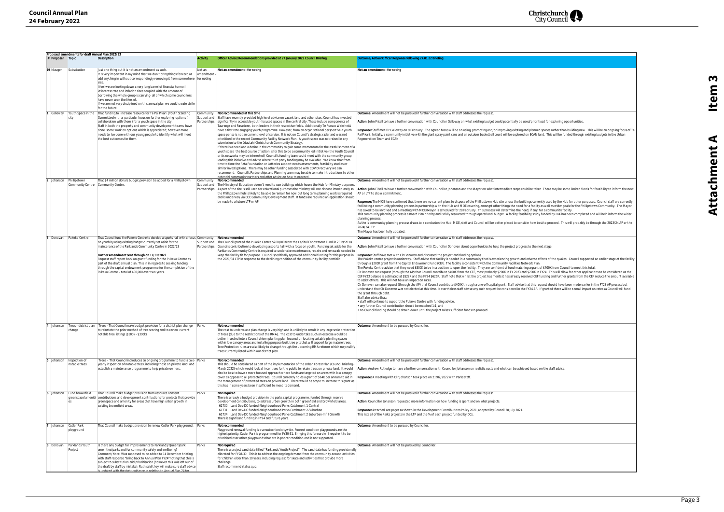<span id="page-2-0"></span>

| Proposed amendments for draft Annual Plan 2022/23                          |                                                                                                                                                                                                                                                                                                                                                                                                                                                                                                                                                                                          |                                          |                                                                                                                                                                                                                                                                                                                                                                                                                                                                                                                                                                                                                                                                                                                                                                                                                                                                                                                                                                                                                                                                                                                                                                                                                                                                                                                                                                                                                                                                                                                   |                                                                                                                                                                                                                                                                                                                                                                                                                                                                                                                                                                                                                                                                                                                                                                                                                                                                                                                                                                                                                                                                                                                                                                                                                                                                                                                                                                                                                                                                                                                                                                                                                                                                                                                                                                                                                                                                                                                                                                                                                                                                                                           |
|----------------------------------------------------------------------------|------------------------------------------------------------------------------------------------------------------------------------------------------------------------------------------------------------------------------------------------------------------------------------------------------------------------------------------------------------------------------------------------------------------------------------------------------------------------------------------------------------------------------------------------------------------------------------------|------------------------------------------|-------------------------------------------------------------------------------------------------------------------------------------------------------------------------------------------------------------------------------------------------------------------------------------------------------------------------------------------------------------------------------------------------------------------------------------------------------------------------------------------------------------------------------------------------------------------------------------------------------------------------------------------------------------------------------------------------------------------------------------------------------------------------------------------------------------------------------------------------------------------------------------------------------------------------------------------------------------------------------------------------------------------------------------------------------------------------------------------------------------------------------------------------------------------------------------------------------------------------------------------------------------------------------------------------------------------------------------------------------------------------------------------------------------------------------------------------------------------------------------------------------------------|-----------------------------------------------------------------------------------------------------------------------------------------------------------------------------------------------------------------------------------------------------------------------------------------------------------------------------------------------------------------------------------------------------------------------------------------------------------------------------------------------------------------------------------------------------------------------------------------------------------------------------------------------------------------------------------------------------------------------------------------------------------------------------------------------------------------------------------------------------------------------------------------------------------------------------------------------------------------------------------------------------------------------------------------------------------------------------------------------------------------------------------------------------------------------------------------------------------------------------------------------------------------------------------------------------------------------------------------------------------------------------------------------------------------------------------------------------------------------------------------------------------------------------------------------------------------------------------------------------------------------------------------------------------------------------------------------------------------------------------------------------------------------------------------------------------------------------------------------------------------------------------------------------------------------------------------------------------------------------------------------------------------------------------------------------------------------------------------------------------|
| # Proposer Topic                                                           | Description                                                                                                                                                                                                                                                                                                                                                                                                                                                                                                                                                                              | Activity                                 | Officer Advice/Recommendations provided at 27 January 2022 Council Briefing                                                                                                                                                                                                                                                                                                                                                                                                                                                                                                                                                                                                                                                                                                                                                                                                                                                                                                                                                                                                                                                                                                                                                                                                                                                                                                                                                                                                                                       | Outcome/Action/Officer Response following 27.01.22 Briefing                                                                                                                                                                                                                                                                                                                                                                                                                                                                                                                                                                                                                                                                                                                                                                                                                                                                                                                                                                                                                                                                                                                                                                                                                                                                                                                                                                                                                                                                                                                                                                                                                                                                                                                                                                                                                                                                                                                                                                                                                                               |
| 9 Mauger<br>Substitution                                                   | Just one thing but it is not an amendment as such.<br>It is very important in my mind that we don't bring things forward or<br>add anything in without correspondingly removing it from somewhere for noting<br>I feel we are looking down a very long barrel of financial turmoil<br>ie:interest rate and inflation rises coupled with the amount of<br>borrowing the whole group is carrying- all of which some councillors<br>have never seen the likes of.<br>If we are not very disciplined on this annual plan we could create strife<br>for the future.                           | Not an<br>amendment                      | Not an amendment - for noting                                                                                                                                                                                                                                                                                                                                                                                                                                                                                                                                                                                                                                                                                                                                                                                                                                                                                                                                                                                                                                                                                                                                                                                                                                                                                                                                                                                                                                                                                     | Not an amendment - for noting                                                                                                                                                                                                                                                                                                                                                                                                                                                                                                                                                                                                                                                                                                                                                                                                                                                                                                                                                                                                                                                                                                                                                                                                                                                                                                                                                                                                                                                                                                                                                                                                                                                                                                                                                                                                                                                                                                                                                                                                                                                                             |
| Galloway   Youth Space in the                                              | That funding to increase resource for Te Pai Pīkari (Youth Standing<br>Committee) with a particular focus on further exploring options (in<br>collaboration with them) for a youth space in the city.<br>Staff in both the property and community development teams have<br>done some work on options which is appreciated; however more<br>needs to be done with our young people to identify what will meet<br>the best outcomes for them.                                                                                                                                             | Community<br>Support and<br>Partnerships | Not recommended at this time<br>Staff have recently provided high level advice on vacant land and other sites. Council has invested<br>significantly in accessible youth-focused spaces in the central city. These include components of<br>Tauranga and Parakiore, both leaders in their respective fields. Additionally Te Puna o Waiwhetū<br>have a first rate engaging youth programme. However, from an organisational perspective a youth<br>space per se is not an current level of service. It is not on Council's strategic radar and was not<br>prioritised in the recent Community Facility Network Plan. A youth space was not raised in any<br>submission to the Ōtautahi Christchurch Community Strategy.<br>If there is a need and a desire in the community to gain some momentum for the establishment of a<br>youth space the best course of action is for this to be a community led initiative (the Youth Council)<br>or its networks may be interested)  Council's funding team could meet with the community group<br>leading this initiative and advise where third party funding may be available. We know that from<br>time to time the Rata Foundation or Lotteries support needs assessments, feasibility studies or<br>similar investigations. There may be other funding associated with COVID recovery we can<br>recommend. Council's Partnerships and Planning team may be able to make introductions to other<br>potential community partners and offer advice on how to proceed. | Outcome: Amendment will not be pursued if further conversation with staff addresses the request<br>Action: John Filsell to have a further conversation with Councillor Galloway on what existing budget could potentially be used/prioritised for exploring opportunities.<br>Response: Staff met Clr Galloway on 9 February. The agreed focus will be on using, promoting and/or improving existing and planned spaces rather than building new. This will be an ongoing focus of Te<br>Pai Pikari. Initially, a community initiative with the giant spray paint cans and an outdoor basketball court will be explored on ECAN land. This will be funded through existing budgets in the Urban<br>Regeneration Team and ECAN.                                                                                                                                                                                                                                                                                                                                                                                                                                                                                                                                                                                                                                                                                                                                                                                                                                                                                                                                                                                                                                                                                                                                                                                                                                                                                                                                                                            |
| Johanson Phillipstown                                                      | That \$4 million dollars budget provision be added for a Phillipstown<br>Community Centre Community Centre.                                                                                                                                                                                                                                                                                                                                                                                                                                                                              | Community                                | Not recommended<br>Support and   The Ministry of Education doesn't need to use buildings which house the Hub for Ministry purposes<br>Partnerships   As part of the site is still used for educational purposes the ministry will not dispose immediately so<br>the Phillipstown hub is likely to be able to remain for now but long term planning work is required<br>and is underway via CCC Community Development staff. If funds are required an application should<br>be made to a future LTP or AP.                                                                                                                                                                                                                                                                                                                                                                                                                                                                                                                                                                                                                                                                                                                                                                                                                                                                                                                                                                                                         | Outcome: Amendment will not be pursued if further conversation with staff addresses the request<br>Action: John Filsell to have a further conversation with Councillor Johanson and the Mayor on what intermediate steps could be taken. There may be some limited funds for feasibility to inform the next<br>AP or LTP to show commitment.<br>Response: The MOE have confirmed that there are no current plans to dispose of the Phillipstown Hub site or use the buildings currently used by the Hub for other purposes. Council staff are currently<br>facilitating a community planning process in partnership with the Hub and MOE covering, amongst other things the need for a facility as well as wider goals for the Phillipstown Community. The Mayor<br>has asked to be involved and a meeting with MOE/Mayor is scheduled for 28 February. This process will determine the need, if any, for a community facility.<br>This community planning process is a Board Plan priority and is fully resourced through operational budget. A facility feasibility study funded by DIA has been completed and will help inform the wider<br>planning process.<br>As the is community planning process draws to a conclusion the Hub, MOE, staff and Council will be better placed to consider how best to proceed. This will probably be through the 2023/24 AP or the<br>2024/34 LTP.<br>The Mayor has been fully updated                                                                                                                                                                                                                                                                                                                                                                                                                                                                                                                                                                                                                                                                             |
| Donovan Pukeko Centre                                                      | That Council fund the Pukeko Centre to develop a sports hall with a focus Community<br>on youth by using existing budget currently set aside for the<br>maintenance of the Parklands Community Centre in 2022/23<br>Further Amendment sent through on 17/01/2022<br>Request staff report back on grant funding for the Pukeko Centre as<br>part of the draft annual plan. This in in regards to seeking funding<br>through the capital endowment programme for the completion of the<br>Pukeko Centre - total of 400,000 over two years.                                                 |                                          | Not recommended<br>Support and The Council granted the Pukeko Centre \$200,000 from the Capital Endowment Fund in 2019/20 as<br>Partnerships Council's contribution to developing a sports hall with a focus on youth. Funding set aside for the<br>Parklands Community Centre is required to undertake maintenance, repairs and renewals needed to<br>keep the facility fit for purpose. Council specifically approved additional funding for this purpose in<br>the 2021/31 LTP in response to the declining condition of the community facility portfolio.                                                                                                                                                                                                                                                                                                                                                                                                                                                                                                                                                                                                                                                                                                                                                                                                                                                                                                                                                     | Outcome: Amendment will not be pursued if further conversation with staff addresses the request.<br>Action: John Filsell to have a further conversation with Councillor Donovan about opportunities to help the project progress to the next stage.<br>Response: Staff have met with CIr Donovan and discussed the project and funding options.<br>The Pukeko centre project is underway. Staff advise that facility is needed in a community that is experiencing growth and adverse effects of the quakes. Council supported an earlier stage of the facility<br>through a \$200K grant from the Capital Endowment Fund (CEF). The facility is consistent with the Community Facilities Network Plan.<br>The Pukeko Centre advise that they need \$800K to be in a position to open the facility. They are confident of fund-matching a grant of \$400K from Council to meet this total.<br>CIr Donavan can request (through the AP) that Council contribute \$400K from the CEF, most probably \$200K in FY 2023 and \$200K in FY24. This will allow for other applications to be considered as the<br>CEF FY23 balance is estimated at \$522K and the FY24 \$626K. Staff note that whilst the project has merits it has already received CEF funding and further grants from the CEF reduce the amount available<br>to assist others. This will not have an impact on rates.<br>CIr Donavan can also request (through the AP) that Council contribute \$400K through a one-off capital grant. Staff advise that this request should have been made earlier in the FY23 AP process but<br>understand that CIr Donavan was not elected at this time. Nevertheless staff advise any such request be considered in the FY24 AP. If granted there will be a small impact on rates as Council will fund<br>the grant through debt.<br>Staff also advise that:<br>• staff will continue to support the Pukeko Centre with funding advice,<br>• any further Council contribution should be matched 1:1, and<br>no Council funding should be drawn down until the project raises sufficient funds to proceed • |
| change                                                                     | Johanson   Trees - district plan   Trees - That Council make budget provision for a district plan change   Parks<br>to reinstate the prior method of tree scoring and to review current<br>notable tree listings (\$100k - \$300k)                                                                                                                                                                                                                                                                                                                                                       |                                          | Not recommended<br>The cost to undertake a plan change is very high and is unlikely to result in any large scale protection<br>of trees (due to the restrictions of the RMA). The cost to undertake such an exercise would be<br>better invested into a Council driven planting plan focused on locating suitable planting spaces<br>within low canopy areas and installing purpose built tree pits that will support large mature trees.<br>Tree Protection rules are also likely to change through the upcoming RMA reforms which may nullify<br>trees currently listed within our district plan.                                                                                                                                                                                                                                                                                                                                                                                                                                                                                                                                                                                                                                                                                                                                                                                                                                                                                                               | Outcome: Amendment to be pursued by Councillor.                                                                                                                                                                                                                                                                                                                                                                                                                                                                                                                                                                                                                                                                                                                                                                                                                                                                                                                                                                                                                                                                                                                                                                                                                                                                                                                                                                                                                                                                                                                                                                                                                                                                                                                                                                                                                                                                                                                                                                                                                                                           |
| Johanson   Inspection of<br>notable trees                                  | Trees - That Council introduces an ongoing programme to fund a two- Parks<br>yearly inspection of notable trees, including those on private land, and<br>establish a maintenance programme to help private owners.                                                                                                                                                                                                                                                                                                                                                                       |                                          | Not recommended<br>This should be considered as part of the implementation of the Urban Forest Plan (Council briefing<br>March 2022) which would look at incentives for the public to retain trees on private land. It would<br>also be best to have a more focused approach where funds are targeted on areas with low canopy<br>cover as oppose to all protected trees. Council currently holds a grant of \$14K per annum to aid in<br>the management of protected trees on private land. There would be scope to increase this grant as<br>this has in some years been insufficient to meet its demand.                                                                                                                                                                                                                                                                                                                                                                                                                                                                                                                                                                                                                                                                                                                                                                                                                                                                                                       | Outcome: Amendment will not be pursued if further conversation with staff addresses the request.<br>Action: Andrew Rutledge to have a further conversation with Councillor Johanson on realistic costs and what can be achieved based on the staff advice.<br>Response: A meeting with Cllr Johanson took place on 21/02/2022 with Parks staff.                                                                                                                                                                                                                                                                                                                                                                                                                                                                                                                                                                                                                                                                                                                                                                                                                                                                                                                                                                                                                                                                                                                                                                                                                                                                                                                                                                                                                                                                                                                                                                                                                                                                                                                                                           |
| Johanson Fund brownfield                                                   | That Council make budget provision from resource consent<br>greenspace/ameniti contributions and development contributions for projects that provide<br>greenspace and amenity for areas that have high urban growth in<br>existing brownfield areas.                                                                                                                                                                                                                                                                                                                                    | Parks                                    | Not required<br>There is already a budget provision in the parks capital programme, funded through reserve<br>development contributions, to address urban growth in both greenfield and brownfield areas.<br>61730 Land Dev-DC funded-Neighbourhood Parks-Catchment 1-Central<br>61731 Land Dev-DC funded-Neighbourhood Parks-Catchment 2-Suburban<br>61734 Land Dev-DC funded-Neighbourhood Parks-Catchment 2 Suburban-Infill Growth<br>There is significant funding in FY24 and future years.                                                                                                                                                                                                                                                                                                                                                                                                                                                                                                                                                                                                                                                                                                                                                                                                                                                                                                                                                                                                                   | Outcome: Amendment will not be pursued if further conversation with staff addresses the request.<br>Action: Councillor Johanson requested more information on how funding is spent and on what projects.<br>Response: Attached are pages as shown in the Development Contributions Policy 2021, adopted by Council 28 July 2021.<br>This lists all of the Parks projects in the LTP and the % of each project funded by DCs.                                                                                                                                                                                                                                                                                                                                                                                                                                                                                                                                                                                                                                                                                                                                                                                                                                                                                                                                                                                                                                                                                                                                                                                                                                                                                                                                                                                                                                                                                                                                                                                                                                                                              |
| Johanson   Cutler Park<br>playground<br>Donovan Parklands Youth<br>Project | That Council make budget provision to renew Cutler Park playground.     Parks<br>Is there any budget for improvements to Parklands/Queenspark<br>amenities/parks and for community safety and wellbeing?<br>Comment/Note: Was supposed to be added to 14 December briefing<br>with staff response "bring back to Annual Plan FY24" noting that this is<br>subject to substitution and prioritisation (however this was left out of<br>the draft by staff by mistake). Ruth said they will make sure staff advice<br>is undated with the right quidance in relation to Annual Plan 24 for | Parks                                    | Not recommended<br>Playground renewal funding is oversubscribed citywide. Poorest condition playgrounds are the<br>highest priority. Cutler Park is programmed for FY30-31. Bringing this forward will require it to be<br>prioritised over other playgrounds that are in poorer condition and is not supported.<br>Not required<br>There is a project candidate titled "Parklands Youth Project". The candidate has funding provisionally<br>allocated for FY28-30. This is to address the ongoing demand from the community around activities<br>for children older than 10 years, including request for skate and activities that provide more<br>challenge.<br>Staff recommend status quo.                                                                                                                                                                                                                                                                                                                                                                                                                                                                                                                                                                                                                                                                                                                                                                                                                    | Outcome: Amendment to be pursued by Councillor.<br>Outcome: Amendment will not be pursued by Councillor.                                                                                                                                                                                                                                                                                                                                                                                                                                                                                                                                                                                                                                                                                                                                                                                                                                                                                                                                                                                                                                                                                                                                                                                                                                                                                                                                                                                                                                                                                                                                                                                                                                                                                                                                                                                                                                                                                                                                                                                                  |